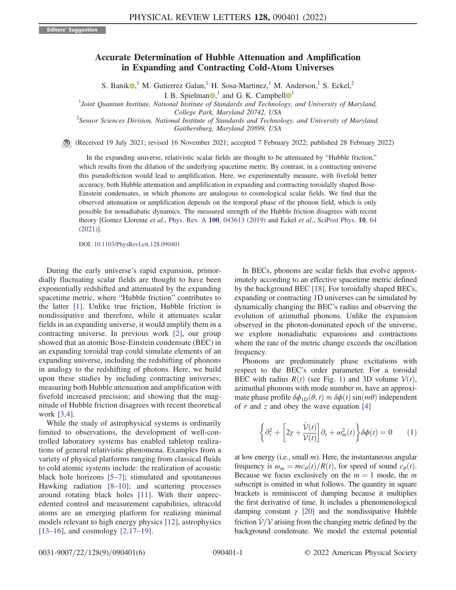## Accurate Determination of Hubble Attenuation and Amplification in Expanding and Contracting Cold-Atom Universes

S. Banik  $\mathbb{D}^1$ , M. Gutierrez Galan, <sup>1</sup> H. Sosa-Martinez, <sup>1</sup> M. Anderson, <sup>1</sup> S. Eckel, <sup>2</sup>

I. B. Spielman $\mathbf{O}$ ,<sup>[1](https://orcid.org/0000-0003-2596-1919)</sup> and G. K. Campbell  $\mathbf{O}^1$ 

<sup>1</sup>Joint Quantum Institute, National Institute of Standards and Technology, and University of Maryland,

College Park, Maryland 20742, USA<br>Sensor Sciences Division, National Institute of Standards and Technology, and University of Maryland,<sup>2</sup> Gaithersburg, Maryland 20899, USA

(Received 19 July 2021; revised 16 November 2021; accepted 7 February 2022; published 28 February 2022)

In the expanding universe, relativistic scalar fields are thought to be attenuated by "Hubble friction," which results from the dilation of the underlying spacetime metric. By contrast, in a contracting universe this pseudofriction would lead to amplification. Here, we experimentally measure, with fivefold better accuracy, both Hubble attenuation and amplification in expanding and contracting toroidally shaped Bose-Einstein condensates, in which phonons are analogous to cosmological scalar fields. We find that the observed attenuation or amplification depends on the temporal phase of the phonon field, which is only possible for nonadiabatic dynamics. The measured strength of the Hubble friction disagrees with recent theory [Gomez Llorente et al., Phys. Rev. A 100[, 043613 \(2019\)](https://doi.org/10.1103/PhysRevA.100.043613) and Eckel et al., [SciPost Phys.](https://doi.org/10.21468/SciPostPhys.10.3.064) 10, 64 [\(2021\)](https://doi.org/10.21468/SciPostPhys.10.3.064)].

DOI: [10.1103/PhysRevLett.128.090401](https://doi.org/10.1103/PhysRevLett.128.090401)

During the early universe's rapid expansion, primordially fluctuating scalar fields are thought to have been exponentially redshifted and attenuated by the expanding spacetime metric, where "Hubble friction" contributes to the latter [[1](#page-4-0)]. Unlike true friction, Hubble friction is nondissipative and therefore, while it attenuates scalar fields in an expanding universe, it would amplify them in a contracting universe. In previous work [[2](#page-4-1)], our group showed that an atomic Bose-Einstein condensate (BEC) in an expanding toroidal trap could simulate elements of an expanding universe, including the redshifting of phonons in analogy to the redshifting of photons. Here, we build upon these studies by including contracting universes; measuring both Hubble attenuation and amplification with fivefold increased precision; and showing that the magnitude of Hubble friction disagrees with recent theoretical work [[3](#page-4-2),[4](#page-4-3)].

While the study of astrophysical systems is ordinarily limited to observations, the development of well-controlled laboratory systems has enabled tabletop realizations of general relativistic phenomena. Examples from a variety of physical platforms ranging from classical fluids to cold atomic systems include: the realization of acoustic black hole horizons [[5](#page-4-4)–[7](#page-4-5)]; stimulated and spontaneous Hawking radiation [[8](#page-4-6)–[10](#page-4-7)]; and scattering processes around rotating black holes [[11](#page-4-8)]. With their unprecedented control and measurement capabilities, ultracold atoms are an emerging platform for realizing minimal models relevant to high energy physics [[12\]](#page-4-9), astrophysics [[13](#page-4-10)–[16](#page-4-11)], and cosmology [[2](#page-4-1),[17](#page-4-12)–[19\]](#page-4-13).

In BECs, phonons are scalar fields that evolve approximately according to an effective spacetime metric defined by the background BEC [\[18\]](#page-4-14). For toroidally shaped BECs, expanding or contracting 1D universes can be simulated by dynamically changing the BEC's radius and observing the evolution of azimuthal phonons. Unlike the expansion observed in the photon-dominated epoch of the universe, we explore nonadiabatic expansions and contractions where the rate of the metric change exceeds the oscillation frequency.

Phonons are predominately phase excitations with respect to the BEC's order parameter. For a toroidal BEC with radius  $R(t)$  (see Fig. [1](#page-1-0)) and 3D volume  $V(t)$ , azimuthal phonons with mode number  $m$ , have an approximate phase profile  $\delta\phi_{1D}(\theta, t) \equiv \delta\phi(t) \sin(m\theta)$  independent of r and z and obey the wave equation  $[4]$  $[4]$ 

<span id="page-0-0"></span>
$$
\left\{\partial_t^2 + \left[2\gamma + \frac{\dot{\mathcal{V}}(t)}{\mathcal{V}(t)}\right]\partial_t + \omega_m^2(t)\right\}\delta\phi(t) = 0 \qquad (1)
$$

at low energy (i.e., small  $m$ ). Here, the instantaneous angular frequency is  $\omega_m = mc_\theta(t)/R(t)$ , for speed of sound  $c_\theta(t)$ . Because we focus exclusively on the  $m = 1$  mode, the m subscript is omitted in what follows. The quantity in square brackets is reminiscent of damping because it multiplies the first derivative of time. It includes a phenomenological damping constant  $\gamma$  [\[20](#page-4-15)] and the nondissipative Hubble friction  $V/V$  arising from the changing metric defined by the background condensate. We model the external potential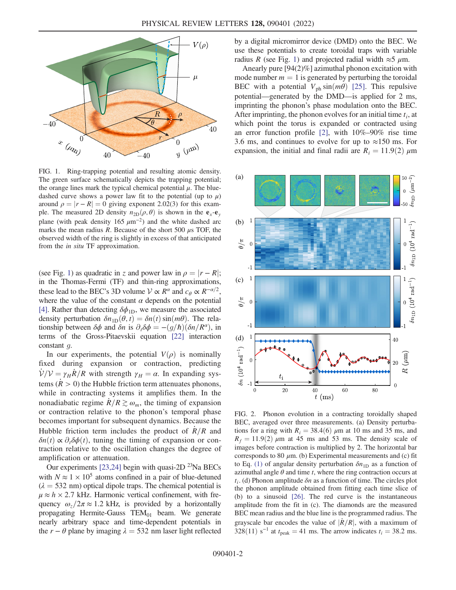<span id="page-1-0"></span>

FIG. 1. Ring-trapping potential and resulting atomic density. The green surface schematically depicts the trapping potential; the orange lines mark the typical chemical potential  $\mu$ . The bluedashed curve shows a power law fit to the potential (up to  $\mu$ ) around  $\rho = |r - R| = 0$  giving exponent 2.02(3) for this example. The measured 2D density  $n_{2D}(\rho, \theta)$  is shown in the  $e_x-e_y$ plane (with peak density 165  $\mu$ m<sup>-2</sup>) and the white dashed arc marks the mean radius R. Because of the short 500  $\mu$ s TOF, the observed width of the ring is slightly in excess of that anticipated from the in situ TF approximation.

(see Fig. [1](#page-1-0)) as quadratic in z and power law in  $\rho = |r - R|$ ; in the Thomas-Fermi (TF) and thin-ring approximations, these lead to the BEC's 3D volume  $V \propto R^{\alpha}$  and  $c_{\theta} \propto R^{-\alpha/2}$ . where the value of the constant  $\alpha$  depends on the potential [\[4](#page-4-3)]. Rather than detecting  $\delta\phi_{1D}$ , we measure the associated density perturbation  $\delta n_{1D}(\theta, t) = \delta n(t) \sin(m\theta)$ . The relationship between  $\delta\phi$  and  $\delta n$  is  $\partial_t \delta\phi = -(g/\hbar)(\delta n/R^{\alpha})$ , in terms of the Gross-Pitaevskii equation [[22\]](#page-4-16) interaction constant g.

In our experiments, the potential  $V(\rho)$  is nominally fixed during expansion or contraction, predicting  $V/V = \gamma_H \dot{R}/R$  with strength  $\gamma_H = \alpha$ . In expanding systems ( $R > 0$ ) the Hubble friction term attenuates phonons, while in contracting systems it amplifies them. In the nonadiabatic regime  $R/R \gtrsim \omega_m$ , the timing of expansion or contraction relative to the phonon's temporal phase becomes important for subsequent dynamics. Because the Hubble friction term includes the product of  $\dot{R}/R$  and  $\delta n(t) \propto \partial_t \delta \phi(t)$ , tuning the timing of expansion or contraction relative to the oscillation changes the degree of amplification or attenuation.

Our experiments [[23](#page-4-17)[,24\]](#page-4-18) begin with quasi-2D  $^{23}$ Na BECs with  $N \approx 1 \times 10^5$  atoms confined in a pair of blue-detuned  $(\lambda = 532 \text{ nm})$  optical dipole traps. The chemical potential is  $\mu \approx h \times 2.7$  kHz. Harmonic vertical confinement, with frequency  $\omega_z/2\pi \approx 1.2$  kHz, is provided by a horizontally propagating Hermite-Gauss  $TEM_{01}$  beam. We generate nearly arbitrary space and time-dependent potentials in the  $r - \theta$  plane by imaging  $\lambda = 532$  nm laser light reflected by a digital micromirror device (DMD) onto the BEC. We use these potentials to create toroidal traps with variable radius R (see Fig. [1\)](#page-1-0) and projected radial width  $\approx$  5  $\mu$ m.

Anearly pure [94(2)%] azimuthal phonon excitation with mode number  $m = 1$  is generated by perturbing the toroidal BEC with a potential  $V_{ph}$  sin $(m\theta)$  [\[25\]](#page-4-19). This repulsive potential—generated by the DMD—is applied for 2 ms, imprinting the phonon's phase modulation onto the BEC. After imprinting, the phonon evolves for an initial time  $t_i$ , at which point the torus is expanded or contracted using an error function profile  $[2]$  $[2]$  $[2]$ , with  $10\% - 90\%$  rise time 3.6 ms, and continues to evolve for up to  $\approx 150$  ms. For expansion, the initial and final radii are  $R_i = 11.9(2) \mu m$ 

<span id="page-1-1"></span>

FIG. 2. Phonon evolution in a contracting toroidally shaped BEC, averaged over three measurements. (a) Density perturbations for a ring with  $R_i = 38.4(6) \mu m$  at 10 ms and 35 ms, and  $R_f = 11.9(2) \mu m$  at 45 ms and 53 ms. The density scale of images before contraction is multiplied by 2. The horizontal bar corresponds to 80  $\mu$ m. (b) Experimental measurements and (c) fit to Eq. [\(1\)](#page-0-0) of angular density perturbation  $\delta n_{1D}$  as a function of azimuthal angle  $\theta$  and time t, where the ring contraction occurs at  $t_i$ . (d) Phonon amplitude  $\delta n$  as a function of time. The circles plot the phonon amplitude obtained from fitting each time slice of (b) to a sinusoid [[26](#page-4-20)]. The red curve is the instantaneous amplitude from the fit in (c). The diamonds are the measured BEC mean radius and the blue line is the programmed radius. The grayscale bar encodes the value of  $|\dot{R}/R|$ , with a maximum of 328(11) s<sup>-1</sup> at  $t_{\text{peak}} = 41$  ms. The arrow indicates  $t_i = 38.2$  ms.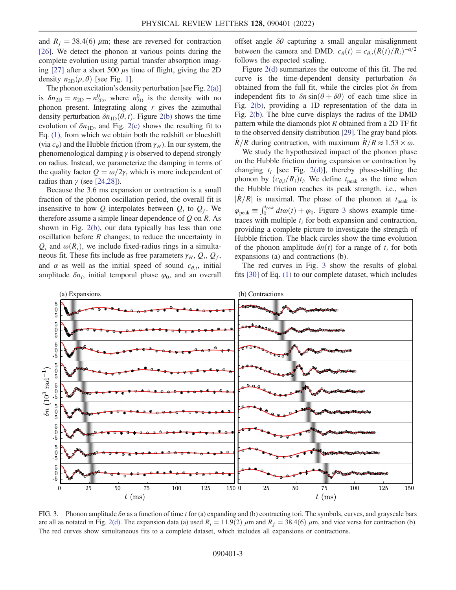and  $R_f = 38.4(6) \mu m$ ; these are reversed for contraction [\[26\]](#page-4-20). We detect the phonon at various points during the complete evolution using partial transfer absorption imaging  $[27]$  after a short 500  $\mu$ s time of flight, giving the 2D density  $n_{2D}(\rho, \theta)$  [see Fig. [1](#page-1-0)].

The phonon excitation's density perturbation [see Fig. [2\(a\)\]](#page-1-1) is  $\delta n_{2D} = n_{2D} - n_{2D}^0$ , where  $n_{2D}^0$  is the density with no phonon present. Integrating along  $r$  gives the azimuthal density perturbation  $\delta n_{1D}(\theta, t)$ . Figure [2\(b\)](#page-1-1) shows the time evolution of  $\delta n_{\text{1D}}$ , and Fig. [2\(c\)](#page-1-1) shows the resulting fit to Eq. [\(1\),](#page-0-0) from which we obtain both the redshift or blueshift (via  $c_{\theta}$ ) and the Hubble friction (from  $\gamma_H$ ). In our system, the phenomenological damping  $\gamma$  is observed to depend strongly on radius. Instead, we parameterize the damping in terms of the quality factor  $Q = \omega/2\gamma$ , which is more independent of radius than  $\gamma$  (see [\[24](#page-4-18),[28\]](#page-4-22)).

Because the 3.6 ms expansion or contraction is a small fraction of the phonon oscillation period, the overall fit is insensitive to how Q interpolates between  $Q_i$  to  $Q_f$ . We therefore assume a simple linear dependence of  $Q$  on  $R$ . As shown in Fig. [2\(b\)](#page-1-1), our data typically has less than one oscillation before  $R$  changes; to reduce the uncertainty in  $Q_i$  and  $\omega(R_i)$ , we include fixed-radius rings in a simultaneous fit. These fits include as free parameters  $\gamma_H$ ,  $Q_i$ ,  $Q_f$ , and  $\alpha$  as well as the initial speed of sound  $c_{\theta,i}$ , initial amplitude  $\delta n_i$ , initial temporal phase  $\varphi_0$ , and an overall offset angle  $\delta\theta$  capturing a small angular misalignment between the camera and DMD.  $c_{\theta}(t) = c_{\theta,i}(R(t)/R_i)^{-\alpha/2}$ follows the expected scaling.

Figure [2\(d\)](#page-1-1) summarizes the outcome of this fit. The red curve is the time-dependent density perturbation  $\delta n$ obtained from the full fit, while the circles plot  $\delta n$  from independent fits to  $\delta n \sin(\theta + \delta \theta)$  of each time slice in Fig. [2\(b\),](#page-1-1) providing a 1D representation of the data in Fig. [2\(b\).](#page-1-1) The blue curve displays the radius of the DMD pattern while the diamonds plot  $R$  obtained from a 2D TF fit to the observed density distribution [[29](#page-4-23)]. The gray band plots  $R/R$  during contraction, with maximum  $R/R \approx 1.53 \times \omega$ .

We study the hypothesized impact of the phonon phase on the Hubble friction during expansion or contraction by changing  $t_i$  [see Fig. [2\(d\)\]](#page-1-1), thereby phase-shifting the phonon by  $(c_{\theta,i}/R_i)t_i$ . We define  $t_{\text{peak}}$  as the time when the Hubble friction reaches its peak strength, i.e., when  $|\dot{R}/R|$  is maximal. The phase of the phonon at  $t_{\text{peak}}$  is  $\varphi_{\text{peak}} \equiv \int_0^{t_{\text{peak}}} dt \omega(t) + \varphi_0$ . Figure [3](#page-2-0) shows example timetraces with multiple  $t_i$  for both expansion and contraction, providing a complete picture to investigate the strength of Hubble friction. The black circles show the time evolution of the phonon amplitude  $\delta n(t)$  for a range of  $t_i$  for both expansions (a) and contractions (b).

The red curves in Fig. [3](#page-2-0) show the results of global fits [\[30\]](#page-4-24) of Eq. [\(1\)](#page-0-0) to our complete dataset, which includes

<span id="page-2-0"></span>

FIG. 3. Phonon amplitude  $\delta n$  as a function of time t for (a) expanding and (b) contracting tori. The symbols, curves, and grayscale bars are all as notated in Fig. [2\(d\).](#page-1-1) The expansion data (a) used  $R_i = 11.9(2)$   $\mu$ m and  $R_f = 38.4(6)$   $\mu$ m, and vice versa for contraction (b). The red curves show simultaneous fits to a complete dataset, which includes all expansions or contractions.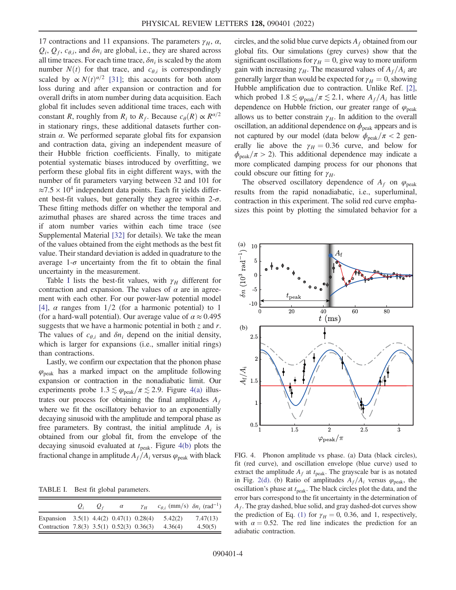17 contractions and 11 expansions. The parameters  $\gamma_H$ ,  $\alpha$ ,  $Q_i$ ,  $Q_f$ ,  $c_{\theta,i}$ , and  $\delta n_i$  are global, i.e., they are shared across all time traces. For each time trace,  $\delta n_i$  is scaled by the atom number  $N(t)$  for that trace, and  $c_{\theta,i}$  is correspondingly scaled by  $\propto N(t)^{\alpha/2}$  [[31](#page-4-25)]; this accounts for both atom loss during and after expansion or contraction and for overall drifts in atom number during data acquisition. Each global fit includes seven additional time traces, each with constant R, roughly from  $R_i$  to  $R_f$ . Because  $c_\theta(R) \propto R^{\alpha/2}$ in stationary rings, these additional datasets further constrain  $\alpha$ . We performed separate global fits for expansion and contraction data, giving an independent measure of their Hubble friction coefficients. Finally, to mitigate potential systematic biases introduced by overfitting, we perform these global fits in eight different ways, with the number of fit parameters varying between 32 and 101 for  $\approx 7.5 \times 10^4$  independent data points. Each fit yields different best-fit values, but generally they agree within  $2-\sigma$ . These fitting methods differ on whether the temporal and azimuthal phases are shared across the time traces and if atom number varies within each time trace (see Supplemental Material [[32](#page-5-0)] for details). We take the mean of the values obtained from the eight methods as the best fit value. Their standard deviation is added in quadrature to the average  $1-\sigma$  uncertainty from the fit to obtain the final uncertainty in the measurement.

Table [I](#page-3-0) lists the best-fit values, with  $\gamma_H$  different for contraction and expansion. The values of  $\alpha$  are in agreement with each other. For our power-law potential model [\[4\]](#page-4-3),  $\alpha$  ranges from 1/2 (for a harmonic potential) to 1 (for a hard-wall potential). Our average value of  $\alpha \approx 0.495$ suggests that we have a harmonic potential in both  $\zeta$  and r. The values of  $c_{\theta,i}$  and  $\delta n_i$  depend on the initial density, which is larger for expansions (i.e., smaller initial rings) than contractions.

Lastly, we confirm our expectation that the phonon phase  $\varphi_{\text{peak}}$  has a marked impact on the amplitude following expansion or contraction in the nonadiabatic limit. Our experiments probe  $1.3 \lesssim \varphi_{\text{peak}}/\pi \lesssim 2.9$ . Figure [4\(a\)](#page-3-1) illustrates our process for obtaining the final amplitudes  $A_f$ where we fit the oscillatory behavior to an exponentially decaying sinusoid with the amplitude and temporal phase as free parameters. By contrast, the initial amplitude  $A_i$  is obtained from our global fit, from the envelope of the decaying sinusoid evaluated at  $t_{\text{peak}}$ . Figure [4\(b\)](#page-3-1) plots the fractional change in amplitude  $A_f/A_i$  versus  $\varphi_{\text{peak}}$  with black

<span id="page-3-0"></span>TABLE I. Best fit global parameters.

|                                           | $\boldsymbol{U}_i$ | $U_f$ | $\alpha$ | $\gamma_H$ | $c_{\theta,i}$ (mm/s) $\delta n_i$ (rad <sup>-1</sup> ) |          |
|-------------------------------------------|--------------------|-------|----------|------------|---------------------------------------------------------|----------|
| Expansion $3.5(1)$ 4.4(2) 0.47(1) 0.28(4) |                    |       |          |            | 5.42(2)                                                 | 7.47(13) |
| Contraction 7.8(3) 3.5(1) 0.52(3) 0.36(3) |                    |       |          |            | 4.36(4)                                                 | 4.50(5)  |

circles, and the solid blue curve depicts  $A_f$  obtained from our global fits. Our simulations (grey curves) show that the significant oscillations for  $\gamma_H = 0$ , give way to more uniform gain with increasing  $\gamma_H$ . The measured values of  $A_f/A_i$  are generally larger than would be expected for  $\gamma_H = 0$ , showing Hubble amplification due to contraction. Unlike Ref. [\[2](#page-4-1)], which probed  $1.8 \lesssim \varphi_{\text{peak}}/\pi \lesssim 2.1$ , where  $A_f/A_i$  has little dependence on Hubble friction, our greater range of  $\varphi_{\text{peak}}$ allows us to better constrain  $\gamma_H$ . In addition to the overall oscillation, an additional dependence on  $\phi_{\text{peak}}$  appears and is not captured by our model (data below  $\phi_{\text{peak}}/\pi < 2$  generally lie above the  $\gamma_H = 0.36$  curve, and below for  $\phi_{\text{peak}}/\pi > 2$ ). This additional dependence may indicate a more complicated damping process for our phonons that could obscure our fitting for  $\gamma_H$ .

The observed oscillatory dependence of  $A_f$  on  $\varphi_{\text{peak}}$ results from the rapid nonadiabatic, i.e., superluminal, contraction in this experiment. The solid red curve emphasizes this point by plotting the simulated behavior for a

<span id="page-3-1"></span>

FIG. 4. Phonon amplitude vs phase. (a) Data (black circles), fit (red curve), and oscillation envelope (blue curve) used to extract the amplitude  $A_f$  at  $t_{\text{peak}}$ . The grayscale bar is as notated in Fig. [2\(d\).](#page-1-1) (b) Ratio of amplitudes  $A_f/A_i$  versus  $\varphi_{\text{peak}}$ , the oscillation's phase at  $t_{\text{peak}}$ . The black circles plot the data, and the error bars correspond to the fit uncertainty in the determination of  $A_f$ . The gray dashed, blue solid, and gray dashed-dot curves show the prediction of Eq. [\(1\)](#page-0-0) for  $\gamma_H = 0$ , 0.36, and 1, respectively, with  $\alpha = 0.52$ . The red line indicates the prediction for an adiabatic contraction.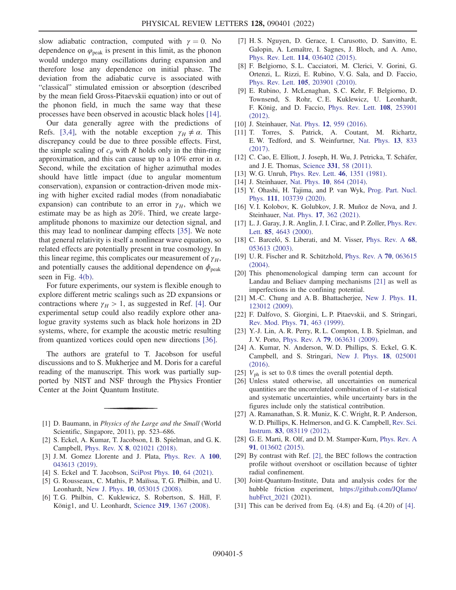slow adiabatic contraction, computed with  $\gamma = 0$ . No dependence on  $\varphi_{\text{peak}}$  is present in this limit, as the phonon would undergo many oscillations during expansion and therefore lose any dependence on initial phase. The deviation from the adiabatic curve is associated with "classical" stimulated emission or absorption (described by the mean field Gross-Pitaevskii equation) into or out of the phonon field, in much the same way that these processes have been observed in acoustic black holes [[14](#page-4-26)].

Our data generally agree with the predictions of Refs. [[3](#page-4-2),[4](#page-4-3)], with the notable exception  $\gamma_H \neq \alpha$ . This discrepancy could be due to three possible effects. First, the simple scaling of  $c_{\theta}$  with R holds only in the thin-ring approximation, and this can cause up to a  $10\%$  error in  $\alpha$ . Second, while the excitation of higher azimuthal modes should have little impact (due to angular momentum conservation), expansion or contraction-driven mode mixing with higher excited radial modes (from nonadiabatic expansion) can contribute to an error in  $\gamma_H$ , which we estimate may be as high as 20%. Third, we create largeamplitude phonons to maximize our detection signal, and this may lead to nonlinear damping effects [[35](#page-5-1)]. We note that general relativity is itself a nonlinear wave equation, so related effects are potentially present in true cosmology. In this linear regime, this complicates our measurement of  $\gamma_H$ , and potentially causes the additional dependence on  $\phi_{\text{peak}}$ seen in Fig. [4\(b\)](#page-3-1).

For future experiments, our system is flexible enough to explore different metric scalings such as 2D expansions or contractions where  $\gamma_H > 1$ , as suggested in Ref. [[4](#page-4-3)]. Our experimental setup could also readily explore other analogue gravity systems such as black hole horizons in 2D systems, where, for example the acoustic metric resulting from quantized vortices could open new directions [[36](#page-5-2)].

The authors are grateful to T. Jacobson for useful discussions and to S. Mukherjee and M. Doris for a careful reading of the manuscript. This work was partially supported by NIST and NSF through the Physics Frontier Center at the Joint Quantum Institute.

- <span id="page-4-1"></span><span id="page-4-0"></span>[1] D. Baumann, in Physics of the Large and the Small (World Scientific, Singapore, 2011), pp. 523–686.
- <span id="page-4-2"></span>[2] S. Eckel, A. Kumar, T. Jacobson, I. B. Spielman, and G. K. Campbell, Phys. Rev. X 8[, 021021 \(2018\)](https://doi.org/10.1103/PhysRevX.8.021021).
- <span id="page-4-3"></span>[3] J. M. Gomez Llorente and J. Plata, [Phys. Rev. A](https://doi.org/10.1103/PhysRevA.100.043613) 100, [043613 \(2019\).](https://doi.org/10.1103/PhysRevA.100.043613)
- <span id="page-4-4"></span>[4] S. Eckel and T. Jacobson, [SciPost Phys.](https://doi.org/10.21468/SciPostPhys.10.3.064) **10**, 64 (2021).
- [5] G. Rousseaux, C. Mathis, P. Maïïssa, T. G. Philbin, and U. Leonhardt, New J. Phys. 10[, 053015 \(2008\).](https://doi.org/10.1088/1367-2630/10/5/053015)
- [6] T. G. Philbin, C. Kuklewicz, S. Robertson, S. Hill, F. König1, and U. Leonhardt, Science 319[, 1367 \(2008\).](https://doi.org/10.1126/science.1153625)
- <span id="page-4-5"></span>[7] H. S. Nguyen, D. Gerace, I. Carusotto, D. Sanvitto, E. Galopin, A. Lemaître, I. Sagnes, J. Bloch, and A. Amo, Phys. Rev. Lett. 114[, 036402 \(2015\).](https://doi.org/10.1103/PhysRevLett.114.036402)
- <span id="page-4-6"></span>[8] F. Belgiorno, S. L. Cacciatori, M. Clerici, V. Gorini, G. Ortenzi, L. Rizzi, E. Rubino, V. G. Sala, and D. Faccio, Phys. Rev. Lett. 105[, 203901 \(2010\).](https://doi.org/10.1103/PhysRevLett.105.203901)
- [9] E. Rubino, J. McLenaghan, S. C. Kehr, F. Belgiorno, D. Townsend, S. Rohr, C. E. Kuklewicz, U. Leonhardt, F. König, and D. Faccio, [Phys. Rev. Lett.](https://doi.org/10.1103/PhysRevLett.108.253901) 108, 253901 [\(2012\).](https://doi.org/10.1103/PhysRevLett.108.253901)
- <span id="page-4-7"></span>[10] J. Steinhauer, Nat. Phys. **12**[, 959 \(2016\)](https://doi.org/10.1038/nphys3863).
- <span id="page-4-8"></span>[11] T. Torres, S. Patrick, A. Coutant, M. Richartz, E. W. Tedford, and S. Weinfurtner, [Nat. Phys.](https://doi.org/10.1038/nphys4151) 13, 833 [\(2017\).](https://doi.org/10.1038/nphys4151)
- <span id="page-4-9"></span>[12] C. Cao, E. Elliott, J. Joseph, H. Wu, J. Petricka, T. Schäfer, and J. E. Thomas, Science 331[, 58 \(2011\).](https://doi.org/10.1126/science.1195219)
- <span id="page-4-26"></span><span id="page-4-10"></span>[13] W. G. Unruh, [Phys. Rev. Lett.](https://doi.org/10.1103/PhysRevLett.46.1351) 46, 1351 (1981).
- [14] J. Steinhauer, Nat. Phys. **10**[, 864 \(2014\)](https://doi.org/10.1038/nphys3104).
- [15] Y. Ohashi, H. Tajima, and P. van Wyk, [Prog. Part. Nucl.](https://doi.org/10.1016/j.ppnp.2019.103739) Phys. 111[, 103739 \(2020\).](https://doi.org/10.1016/j.ppnp.2019.103739)
- <span id="page-4-11"></span>[16] V. I. Kolobov, K. Golubkov, J. R. Muñoz de Nova, and J. Steinhauer, Nat. Phys. 17[, 362 \(2021\).](https://doi.org/10.1038/s41567-020-01076-0)
- <span id="page-4-12"></span>[17] L. J. Garay, J. R. Anglin, J. I. Cirac, and P. Zoller, *[Phys. Rev.](https://doi.org/10.1103/PhysRevLett.85.4643)* Lett. 85[, 4643 \(2000\)](https://doi.org/10.1103/PhysRevLett.85.4643).
- <span id="page-4-14"></span>[18] C. Barceló, S. Liberati, and M. Visser, [Phys. Rev. A](https://doi.org/10.1103/PhysRevA.68.053613) 68, [053613 \(2003\).](https://doi.org/10.1103/PhysRevA.68.053613)
- <span id="page-4-13"></span>[19] U. R. Fischer and R. Schützhold, [Phys. Rev. A](https://doi.org/10.1103/PhysRevA.70.063615) 70, 063615 [\(2004\).](https://doi.org/10.1103/PhysRevA.70.063615)
- <span id="page-4-15"></span>[20] This phenomenological damping term can account for Landau and Beliaev damping mechanisms [\[21\]](#page-4-27) as well as imperfections in the confining potential.
- <span id="page-4-27"></span>[21] M.-C. Chung and A. B. Bhattacherjee, [New J. Phys.](https://doi.org/10.1088/1367-2630/11/12/123012) 11, [123012 \(2009\).](https://doi.org/10.1088/1367-2630/11/12/123012)
- <span id="page-4-16"></span>[22] F. Dalfovo, S. Giorgini, L. P. Pitaevskii, and S. Stringari, [Rev. Mod. Phys.](https://doi.org/10.1103/RevModPhys.71.463) 71, 463 (1999).
- <span id="page-4-17"></span>[23] Y.-J. Lin, A. R. Perry, R. L. Compton, I. B. Spielman, and J. V. Porto, Phys. Rev. A 79[, 063631 \(2009\).](https://doi.org/10.1103/PhysRevA.79.063631)
- <span id="page-4-18"></span>[24] A. Kumar, N. Anderson, W. D. Phillips, S. Eckel, G. K. Campbell, and S. Stringari, [New J. Phys.](https://doi.org/10.1088/1367-2630/18/2/025001) 18, 025001 [\(2016\).](https://doi.org/10.1088/1367-2630/18/2/025001)
- <span id="page-4-20"></span><span id="page-4-19"></span>[25]  $V_{\text{ph}}$  is set to 0.8 times the overall potential depth.
- [26] Unless stated otherwise, all uncertainties on numerical quantities are the uncorrelated combination of  $1-\sigma$  statistical and systematic uncertainties, while uncertainty bars in the figures include only the statistical contribution.
- <span id="page-4-21"></span>[27] A. Ramanathan, S. R. Muniz, K. C. Wright, R. P. Anderson, W. D. Phillips, K. Helmerson, and G. K. Campbell, [Rev. Sci.](https://doi.org/10.1063/1.4747163) Instrum. 83[, 083119 \(2012\).](https://doi.org/10.1063/1.4747163)
- <span id="page-4-22"></span>[28] G. E. Marti, R. Olf, and D. M. Stamper-Kurn, [Phys. Rev. A](https://doi.org/10.1103/PhysRevA.91.013602) 91[, 013602 \(2015\).](https://doi.org/10.1103/PhysRevA.91.013602)
- <span id="page-4-23"></span>[29] By contrast with Ref. [\[2\]](#page-4-1), the BEC follows the contraction profile without overshoot or oscillation because of tighter radial confinement.
- <span id="page-4-24"></span>[30] Joint-Quantum-Institute, Data and analysis codes for the hubble friction experiment, [https://github.com/JQIamo/](https://github.com/JQIamo/hubFrct_2021) [hubFrct\\_2021](https://github.com/JQIamo/hubFrct_2021) (2021).
- <span id="page-4-25"></span>[31] This can be derived from Eq.  $(4.8)$  and Eq.  $(4.20)$  of [\[4](#page-4-3)].